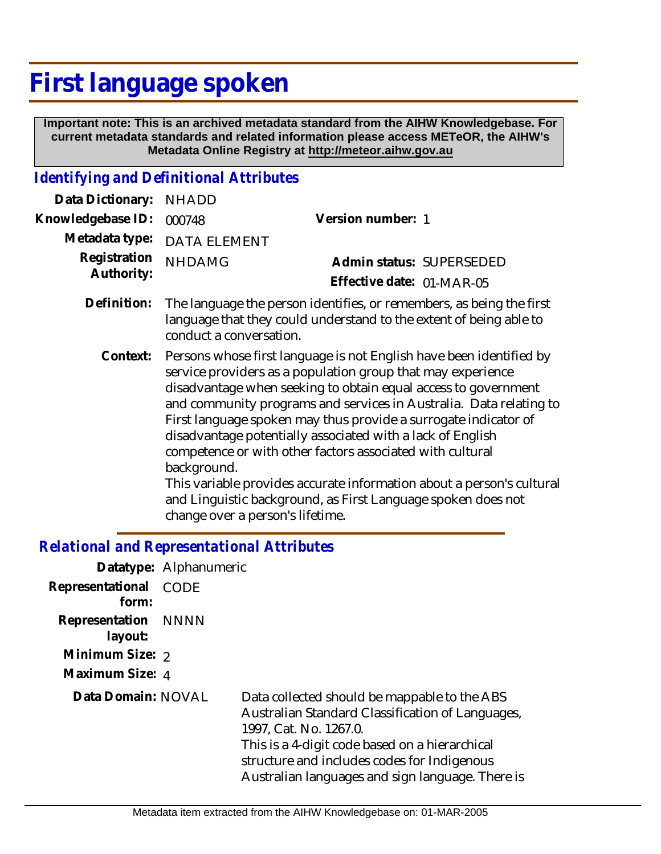# **First language spoken**

 **Important note: This is an archived metadata standard from the AIHW Knowledgebase. For current metadata standards and related information please access METeOR, the AIHW's Metadata Online Registry at http://meteor.aihw.gov.au**

## *Identifying and Definitional Attributes*

| Data Dictionary: NHADD     |                                                                                                                                                                                                      |                           |  |
|----------------------------|------------------------------------------------------------------------------------------------------------------------------------------------------------------------------------------------------|---------------------------|--|
| Knowledgebase ID:          | 000748                                                                                                                                                                                               | Version number: 1         |  |
| Metadata type:             | <b>DATA ELEMENT</b>                                                                                                                                                                                  |                           |  |
| Registration<br>Authority: | <b>NHDAMG</b>                                                                                                                                                                                        | Admin status: SUPERSEDED  |  |
|                            |                                                                                                                                                                                                      | Effective date: 01-MAR-05 |  |
| Definition:                | The language the person identifies, or remembers, as being the first<br>language that they could understand to the extent of being able to<br>conduct a conversation.                                |                           |  |
| Context:                   | Persons whose first language is not English have been identified by<br>service providers as a population group that may experience<br>disadvantage when seeking to obtain equal access to government |                           |  |

and community programs and services in Australia. Data relating to First language spoken may thus provide a surrogate indicator of

This variable provides accurate information about a person's cultural

and Linguistic background, as First Language spoken does not

disadvantage potentially associated with a lack of English competence or with other factors associated with cultural

## change over a person's lifetime. *Relational and Representational Attributes*

background.

|                                | Datatype: Alphanumeric |                                                                                                                                                                                                                                                                                 |
|--------------------------------|------------------------|---------------------------------------------------------------------------------------------------------------------------------------------------------------------------------------------------------------------------------------------------------------------------------|
| Representational<br>form:      | <b>CODE</b>            |                                                                                                                                                                                                                                                                                 |
| Representation NNNN<br>layout: |                        |                                                                                                                                                                                                                                                                                 |
| Minimum Size: 2                |                        |                                                                                                                                                                                                                                                                                 |
| Maximum Size: 4                |                        |                                                                                                                                                                                                                                                                                 |
| Data Domain: NOVAL             |                        | Data collected should be mappable to the ABS<br>Australian Standard Classification of Languages,<br>1997, Cat. No. 1267.0.<br>This is a 4-digit code based on a hierarchical<br>structure and includes codes for Indigenous<br>Australian languages and sign language. There is |